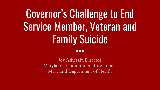# Governor's Challenge to End Service Member, Veteran and Family Suicide

...

Joy Ashcraft, Director Maryland's Commitment to Veterans Maryland Department of Health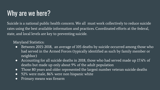### Why are we here?

Suicide is a national public health concern. We all must work collectively to reduce suicide rates using the best available information and practices. Coordinated efforts at the federal, state, and local levels are key to preventing suicide.

#### Maryland Statistics:

- Between 2015-2018, an average of 105 deaths by suicide occurred among those who had served in the Armed Forces (typically identified as such by family member or neighbor)
- Accounting for all suicide deaths in 2018, those who had served made up 17.4% of deaths but made up only about 9% of the adult population
- Those 80 years and older represented the largest number veteran suicide deaths
- 92% were male, 86% were non hispanic white
- Primary means was firearm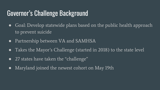#### Governor's Challenge Background

- Goal: Develop statewide plans based on the public health approach to prevent suicide
- Partnership between VA and SAMHSA
- Takes the Mayor's Challenge (started in 2018) to the state level
- 27 states have taken the "challenge"
- Maryland joined the newest cohort on May 19th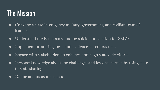#### The Mission

- Convene a state interagency military, government, and civilian team of leaders
- Understand the issues surrounding suicide prevention for SMVF
- Implement promising, best, and evidence-based practices
- Engage with stakeholders to enhance and align statewide efforts
- Increase knowledge about the challenges and lessons learned by using stateto-state sharing
- Define and measure success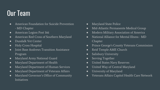## Our Team

- American Foundation for Suicide Prevention - MD Chapter
- American Legion Post 166
- American Red Cross of Southern Maryland
- Dundalk Vet Center
- Holy Cross Hospital
- Joint Base Andrews Transition Assistance Program
- Maryland Army National Guard
- Maryland Department of Health
- Maryland Department of Human Services
- Maryland Department of Veterans Affairs
- Maryland Governor's Office of Community **Initiatives**
- Maryland State Police
- Mid-Atlantic Permanente Medical Group
- Modern Military Association of America
- National Alliance for Mental Illness MD Chapter
- Prince George's County Veterans Commission
- Reid Temple AME Church
- Salisbury University
- Serving Together
- United States Navy Reserves
- United Way of Central Maryland
- University of Maryland
- Veterans Affairs Capitol Health Care Network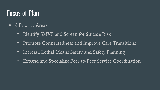#### Focus of Plan

- 4 Priority Areas
	- Identify SMVF and Screen for Suicide Risk
	- Promote Connectedness and Improve Care Transitions
	- Increase Lethal Means Safety and Safety Planning
	- Expand and Specialize Peer-to-Peer Service Coordination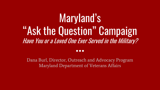# Maryland's "Ask the Question" Campaign Have You or a Loved One Ever Served in the Military?

#### $\bullet\bullet\bullet$

Dana Burl, Director, Outreach and Advocacy Program Maryland Department of Veterans Affairs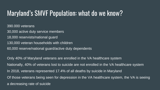#### Maryland's SMVF Population: what do we know?

390.000 veterans

- 30,000 active duty service members
- 18,000 reservists/national guard
- 130,000 veteran households with children
- 60,000 reserve/national guard/active duty dependents

Only 40% of Maryland veterans are enrolled in the VA healthcare system Nationally, 40% of veterans lost to suicide are not enrolled in the VA healthcare system In 2018, veterans represented 17.4% of all deaths by suicide in Maryland Of those veterans being seen for depression in the VA healthcare system, the VA is seeing a decreasing rate of suicide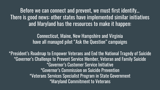Before we can connect and prevent, we must first identify… There is good news: other states have implemented similar initiatives and Maryland has the resources to make it happen:

> Connecticut, Maine, New Hampshire and Virginia have all managed pilot "Ask the Question" campaigns

\*President's Roadmap to Empower Veterans and End the National Tragedy of Suicide \*Governor's Challenge to Prevent Service Member, Veteran and Family Suicide \*Governor's Customer Service Initiative \*Governor's Commission on Suicide Prevention \*Veterans Services Specialist Program in State Government \*Maryland Commitment to Veterans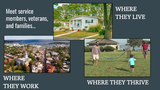#### Meet service members, veterans, and families...



#### WHERE THEY LIVE



#### WHERE THEY WORK

#### WHERE THEY THRIVE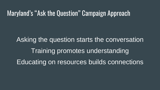#### Maryland's "Ask the Question" Campaign Approach

Asking the question starts the conversation Training promotes understanding Educating on resources builds connections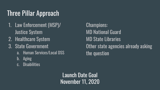## Three Pillar Approach

- 1. Law Enforcement (MSP)/ Justice System
- 2. Healthcare System
- 3. State Government
	- a. Human Services/Local DSS
	- b. Aging
	- c. Disabilities

Champions: MD National Guard MD State Libraries Other state agencies already asking the question

Launch Date Goal November 11, 2020